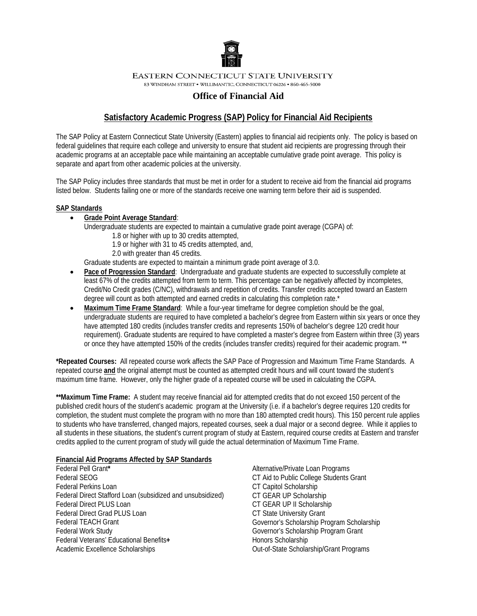

**EASTERN CONNECTICUT STATE UNIVERSITY** 

83 WINDHAM STREET . WILLIMANTIC, CONNECTICUT 06226 . 860-465-5000

# **Office of Financial Aid**

# **Satisfactory Academic Progress (SAP) Policy for Financial Aid Recipients**

The SAP Policy at Eastern Connecticut State University (Eastern) applies to financial aid recipients only. The policy is based on federal guidelines that require each college and university to ensure that student aid recipients are progressing through their academic programs at an acceptable pace while maintaining an acceptable cumulative grade point average. This policy is separate and apart from other academic policies at the university.

The SAP Policy includes three standards that must be met in order for a student to receive aid from the financial aid programs listed below. Students failing one or more of the standards receive one warning term before their aid is suspended.

# **SAP Standards**

• **Grade Point Average Standard**:

Undergraduate students are expected to maintain a cumulative grade point average (CGPA) of:

1.8 or higher with up to 30 credits attempted,

1.9 or higher with 31 to 45 credits attempted, and,

2.0 with greater than 45 credits.

Graduate students are expected to maintain a minimum grade point average of 3.0.

- **Pace of Progression Standard**: Undergraduate and graduate students are expected to successfully complete at least 67% of the credits attempted from term to term. This percentage can be negatively affected by incompletes, Credit/No Credit grades (C/NC), withdrawals and repetition of credits. Transfer credits accepted toward an Eastern degree will count as both attempted and earned credits in calculating this completion rate.\*
- **Maximum Time Frame Standard**: While a four-year timeframe for degree completion should be the goal, undergraduate students are required to have completed a bachelor's degree from Eastern within six years or once they have attempted 180 credits (includes transfer credits and represents 150% of bachelor's degree 120 credit hour requirement). Graduate students are required to have completed a master's degree from Eastern within three (3) years or once they have attempted 150% of the credits (includes transfer credits) required for their academic program. \*\*

**\*Repeated Courses:** All repeated course work affects the SAP Pace of Progression and Maximum Time Frame Standards. A repeated course **and** the original attempt must be counted as attempted credit hours and will count toward the student's maximum time frame. However, only the higher grade of a repeated course will be used in calculating the CGPA.

**\*\*Maximum Time Frame:** A student may receive financial aid for attempted credits that do not exceed 150 percent of the published credit hours of the student's academic program at the University (i.e. if a bachelor's degree requires 120 credits for completion, the student must complete the program with no more than 180 attempted credit hours). This 150 percent rule applies to students who have transferred, changed majors, repeated courses, seek a dual major or a second degree. While it applies to all students in these situations, the student's current program of study at Eastern, required course credits at Eastern and transfer credits applied to the current program of study will guide the actual determination of Maximum Time Frame.

# **Financial Aid Programs Affected by SAP Standards**

- Federal Pell Grant**\***  Federal SEOG Federal Perkins Loan Federal Direct Stafford Loan (subsidized and unsubsidized) Federal Direct PLUS Loan Federal Direct Grad PLUS Loan Federal TEACH Grant Federal Work Study Federal Veterans' Educational Benefits**+** Academic Excellence Scholarships
- Alternative/Private Loan Programs CT Aid to Public College Students Grant CT Capitol Scholarship CT GEAR UP Scholarship CT GEAR UP II Scholarship CT State University Grant Governor's Scholarship Program Scholarship Governor's Scholarship Program Grant Honors Scholarship Out-of-State Scholarship/Grant Programs